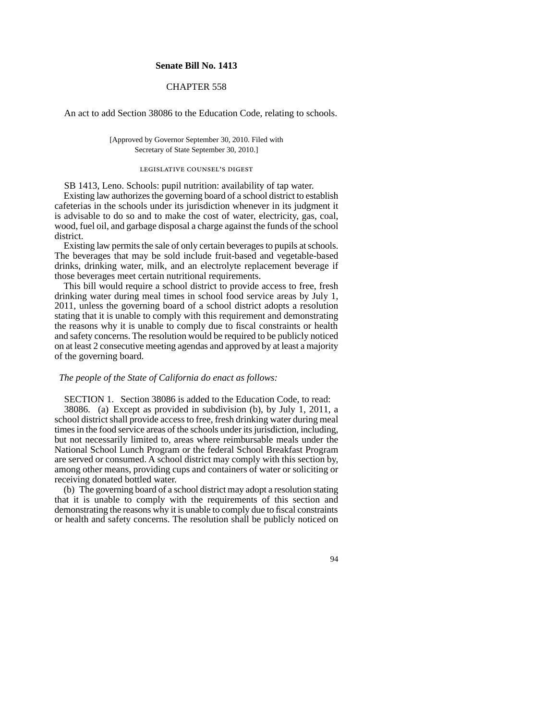### **Senate Bill No. 1413**

# CHAPTER 558

An act to add Section 38086 to the Education Code, relating to schools.

[Approved by Governor September 30, 2010. Filed with Secretary of State September 30, 2010.]

#### legislative counsel's digest

SB 1413, Leno. Schools: pupil nutrition: availability of tap water.

Existing law authorizes the governing board of a school district to establish cafeterias in the schools under its jurisdiction whenever in its judgment it is advisable to do so and to make the cost of water, electricity, gas, coal, wood, fuel oil, and garbage disposal a charge against the funds of the school district.

Existing law permits the sale of only certain beverages to pupils at schools. The beverages that may be sold include fruit-based and vegetable-based drinks, drinking water, milk, and an electrolyte replacement beverage if those beverages meet certain nutritional requirements.

This bill would require a school district to provide access to free, fresh drinking water during meal times in school food service areas by July 1, 2011, unless the governing board of a school district adopts a resolution stating that it is unable to comply with this requirement and demonstrating the reasons why it is unable to comply due to fiscal constraints or health and safety concerns. The resolution would be required to be publicly noticed on at least 2 consecutive meeting agendas and approved by at least a majority of the governing board.

## *The people of the State of California do enact as follows:*

SECTION 1. Section 38086 is added to the Education Code, to read: 38086. (a) Except as provided in subdivision (b), by July 1, 2011, a school district shall provide access to free, fresh drinking water during meal times in the food service areas of the schools under its jurisdiction, including, but not necessarily limited to, areas where reimbursable meals under the National School Lunch Program or the federal School Breakfast Program are served or consumed. A school district may comply with this section by, among other means, providing cups and containers of water or soliciting or receiving donated bottled water.

(b) The governing board of a school district may adopt a resolution stating that it is unable to comply with the requirements of this section and demonstrating the reasons why it is unable to comply due to fiscal constraints or health and safety concerns. The resolution shall be publicly noticed on

94